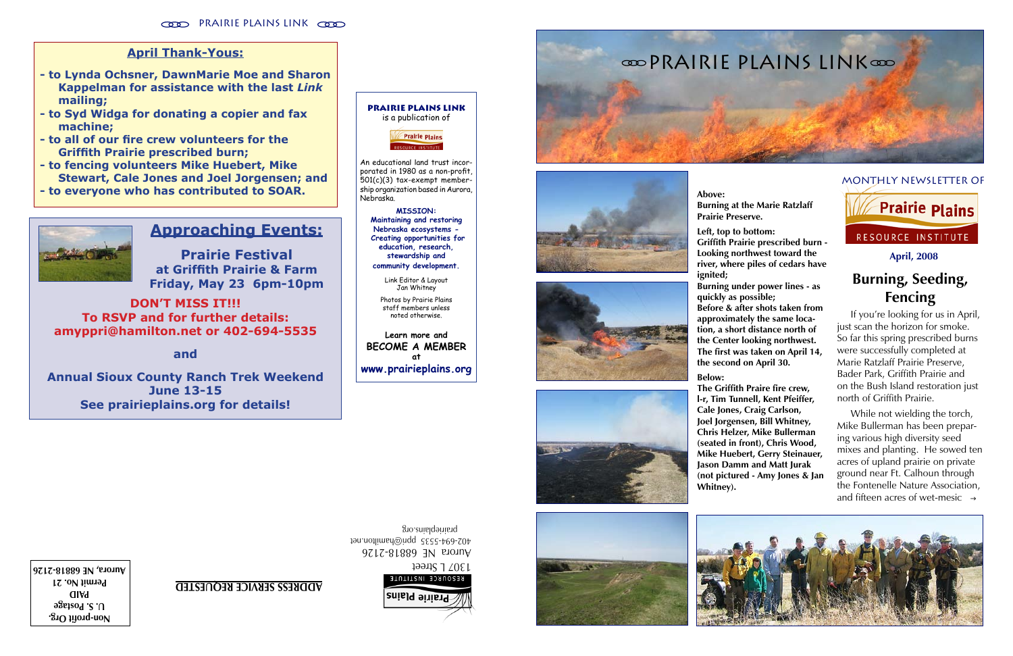









### **April, 2008**

**Non-profit Org. U. S. Postage PAID Permit No. 21 Aurora, NE 68818-2126** 1307 L Street

#### monthly newsletter of

Aurora NE 68818-2126 402-694-5535 ppri@hamilton.net prairieplains.org



**ADDRESS SERVICE REQUESTED**

## **April Thank-Yous:**

- **to Lynda Ochsner, DawnMarie Moe and Sharon Kappelman for assistance with the last** *Link* **mailing;**
- **to Syd Widga for donating a copier and fax machine;**
- **to all of our fire crew volunteers for the Griffith Prairie prescribed burn;**
- **to fencing volunteers Mike Huebert, Mike Stewart, Cale Jones and Joel Jorgensen; and**
- **to everyone who has contributed to SOAR.**



 While not wielding the torch, Mike Bullerman has been prepar ing various high diversity seed mixes and planting. He sowed ten acres of upland prairie on private ground near Ft. Calhoun through the Fontenelle Nature Association, and fifteen acres of wet-mesic  $\rightarrow$ 

# **Burning, Seeding, Fencing**

 If you're looking for us in April, just scan the horizon for smoke. So far this spring prescribed burns were successfully completed at Marie Ratzlaff Prairie Preserve, Bader Park, Griffith Prairie and on the Bush Island restoration just north of Griffith Prairie.

**Burning at the Marie Ratzlaff** 

**Above: Prairie Preserve.**

**Left, top to bottom:**

**Prairie Plains Link** is a publication of**Prairie Plains** 

> **Griffith Prairie prescribed burn - Looking northwest toward the river, where piles of cedars have ignited; Burning under power lines - as quickly as possible;**

**Before & after shots taken from approximately the same loca tion, a short distance north of the Center looking northwest. The first was taken on April 14, the second on April 30.**



RESOURCE INSTITUTE

**Below:**

**The Griffith Praire fire crew, l-r, Tim Tunnell, Kent Pfeiffer, Cale Jones, Craig Carlson, Joel Jorgensen, Bill Whitney, Chris Helzer, Mike Bullerman (seated in front), Chris Wood, Mike Huebert, Gerry Steinauer, Jason Damm and Matt Jurak (not pictured - Amy Jones & Jan Whitney).**



## **Approaching Events:**

**Prairie Festival at Griffith Prairie & Farm Friday, May 23 6pm-10pm**

**DON'T MISS IT!!! To RSVP and for further details: amyppri@hamilton.net or 402-694-5535**

**and**

**Annual Sioux County Ranch Trek Weekend June 13-15 See prairieplains.org for details!**

An educational land trust incor porated in 1980 as a non-profit, 501(c)(3) tax-exempt member ship organization based in Aurora, Nebraska.

**MISSION: Maintaining and restoring Nebraska ecosystems - Creating opportunities for education, research, stewardship and community development.**

Link Editor & Layout Jan Whitney Photos by Prairie Plains staff members unless noted otherwise.

**Learn more and BECOME A MEMBER at www.prairieplains.org**